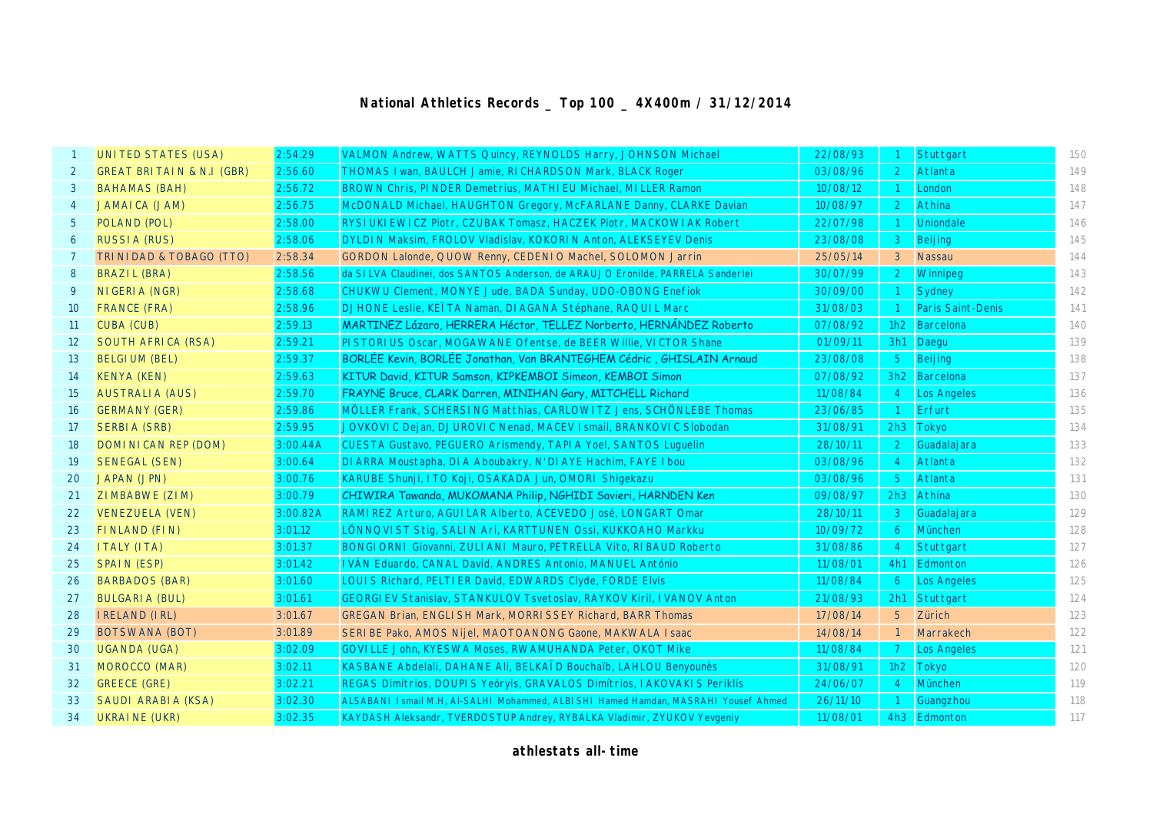## **National Athletics Records \_ Top 100 \_ 4X400m / 31/12/2014**

|                 | <b>UNITED STATES (USA)</b>           | 2:54.29  | VALMON Andrew, WATTS Quincy, REYNOLDS Harry, JOHNSON Michael                         | 22/08/93 |                | Stuttgart                | 150 |
|-----------------|--------------------------------------|----------|--------------------------------------------------------------------------------------|----------|----------------|--------------------------|-----|
| $\overline{2}$  | <b>GREAT BRITAIN &amp; N.I (GBR)</b> | 2:56.60  | THOMAS I wan, BAULCH Jamie, RI CHARDSON Mark, BLACK Roger                            | 03/08/96 |                | Atlanta                  | 149 |
| 3               | <b>BAHAMAS (BAH)</b>                 | 2:56.72  | BROWN Chris, PI NDER Demetrius, MATHI EU Michael, MI LLER Ramon                      | 10/08/12 |                | London                   | 148 |
| $\overline{4}$  | <b>JAMAICA (JAM)</b>                 | 2:56.75  | McDONALD Michael, HAUGHTON Gregory, McFARLANE Danny, CLARKE Davian                   | 10/08/97 | 2              | Athína                   | 147 |
| $5^{\circ}$     | POLAND (POL)                         | 2:58.00  | RYSI UKI EWICZ Piotr, CZUBAK Tomasz, HACZEK Piotr, MACKOWI AK Robert                 | 22/07/98 |                | <b>Uniondale</b>         | 146 |
| 6               | <b>RUSSIA (RUS)</b>                  | 2:58.06  | DYLDIN Maksim, FROLOV Vladislav, KOKORIN Anton, ALEKSEYEV Denis                      | 23/08/08 | 3              | Beijing                  | 145 |
| 7               | TRI NI DAD & TOBAGO (TTO)            | 2:58.34  | GORDON Lalonde, QUOW Renny, CEDENIO Machel, SOLOMON Jarrin                           | 25/05/14 | 3              | <b>Nassau</b>            | 144 |
| 8               | BRAZIL (BRA)                         | 2:58.56  | da SILVA Claudinei, dos SANTOS Anderson, de ARAUJO Eronilde, PARRELA Sanderlei       | 30/07/99 | $\mathbf{2}$   | Winnipeg                 | 143 |
| 9               | NI GERI A (NGR)                      | 2:58.68  | CHUKWU Clement, MONYE Jude, BADA Sunday, UDO-OBONG Enefiok                           | 30/09/00 |                | Sydney                   | 142 |
| 10 <sup>°</sup> | <b>FRANCE (FRA)</b>                  | 2:58.96  | DJHONE Leslie, KEÏTA Naman, DI AGANA Stéphane, RAQUI L Marc                          | 31/08/03 |                | <b>Paris Saint-Denis</b> | 141 |
| 11              | <b>CUBA (CUB)</b>                    | 2:59.13  | MARTINEZ Lázaro, HERRERA Héctor, TELLEZ Norberto, HERNÁNDEZ Roberto                  | 07/08/92 | 1h2            | Barcelona                | 140 |
| 12 <sup>2</sup> | SOUTH AFRICA (RSA)                   | 2:59.21  | PI STORI US Oscar, MOGAWANE Ofentse, de BEER Willie, VI CTOR Shane                   | 01/09/11 | 3h1            | Daegu                    | 139 |
| 13 <sup>°</sup> | <b>BELGIUM (BEL)</b>                 | 2:59.37  | BORLEE Kevin, BORLEE Jonathan, Van BRANTEGHEM Cédric, GHISLAIN Arnaud                | 23/08/08 | 5 <sup>1</sup> | Beijing                  | 138 |
| 14              | <b>KENYA (KEN)</b>                   | 2:59.63  | KITUR David, KITUR Samson, KIPKEMBOI Simeon, KEMBOI Simon                            | 07/08/92 |                | 3h2 Barcelona            | 137 |
| 15              | <b>AUSTRALIA (AUS)</b>               | 2:59.70  | FRAYNE Bruce, CLARK Darren, MINIHAN Gary, MITCHELL Richard                           | 11/08/84 | 4 <sup>1</sup> | Los Angeles              | 136 |
| 16              | <b>GERMANY (GER)</b>                 | 2:59.86  | MÖLLER Frank, SCHERSI NG Matthias, CARLOWI TZ Jens, SCHÖNLEBE Thomas                 | 23/06/85 |                | <b>Erfurt</b>            | 135 |
| 17              | <b>SERBIA (SRB)</b>                  | 2:59.95  | JOVKOVI C Dejan, DJUROVI C Nenad, MACEV I smail, BRANKOVI C Slobodan                 | 31/08/91 |                | 2h3 Tokyo                | 134 |
| 18              | DOMI NI CAN REP (DOM)                | 3:00.44A | CUESTA Gustavo, PEGUERO Arismendy, TAPI A Yoel, SANTOS Luguelin                      | 28/10/11 | $\overline{2}$ | Guadalajara              | 133 |
| 19              | <b>SENEGAL (SEN)</b>                 | 3:00.64  | DI ARRA Moustapha, DI A Aboubakry, N'DI AYE Hachim, FAYE I bou                       | 03/08/96 | -4             | Atlanta                  | 132 |
| 20              | <b>JAPAN (JPN)</b>                   | 3:00.76  | KARUBE Shunji, ITO Koji, OSAKADA Jun, OMORI Shiqekazu                                | 03/08/96 | 5 <sup>5</sup> | Atlanta                  | 131 |
| 21              | ZIMBABWE (ZIM)                       | 3:00.79  | CHIWIRA Tawanda, MUKOMANA Philip, NGHIDI Savieri, HARNDEN Ken                        | 09/08/97 | 2h3            | Athina                   | 130 |
| 22              | <b>VENEZUELA (VEN)</b>               | 3:00.82A | RAMI REZ Arturo, AGUI LAR Alberto, ACEVEDO José, LONGART Omar                        | 28/10/11 | 3              | Guadalajara              | 129 |
| 23              | FINLAND (FIN)                        | 3:01.12  | LÖNNQVI ST Stig, SALI N Ari, KARTTUNEN Ossi, KUKKOAHO Markku                         | 10/09/72 | 6              | München                  | 128 |
| 24              | <b>ITALY (ITA)</b>                   | 3:01.37  | BONGI ORNI Giovanni, ZULI ANI Mauro, PETRELLA Vito, RI BAUD Roberto                  | 31/08/86 | -4             | Stuttgart                | 127 |
| 25              | <b>SPAIN (ESP)</b>                   | 3:01.42  | IVÁN Eduardo, CANAL David, ANDRES Antonio, MANUEL António                            | 11/08/01 | 4h1            | Edmonton                 | 126 |
| 26              | <b>BARBADOS (BAR)</b>                | 3:01.60  | LOUIS Richard, PELTI ER David, EDWARDS Clyde, FORDE Elvis                            | 11/08/84 | 6              | <b>Los Angeles</b>       | 125 |
| 27              | <b>BULGARIA (BUL)</b>                | 3:01.61  | GEORGI EV Stanislav, STANKULOV Tsvetoslav, RAYKOV Kiril, IVANOV Anton                | 21/08/93 | 2h1            | Stuttgart                | 124 |
| 28              | <b>IRELAND (IRL)</b>                 | 3:01.67  | <b>GREGAN Brian, ENGLI SH Mark, MORRI SSEY Richard, BARR Thomas</b>                  | 17/08/14 | 5 <sup>5</sup> | Zürich                   | 123 |
| 29              | <b>BOTSWANA (BOT)</b>                | 3:01.89  | SERIBE Pako, AMOS Nijel, MAOTOANONG Gaone, MAKWALA I saac                            | 14/08/14 |                | Marrakech                | 122 |
| 30              | UGANDA (UGA)                         | 3:02.09  | GOVI LLE John, KYESWA Moses, RWAMUHANDA Peter, OKOT Mike                             | 11/08/84 | $\overline{7}$ | <b>Los Angeles</b>       | 121 |
| 31              | <b>MOROCCO (MAR)</b>                 | 3:02.11  | KASBANE Abdelali, DAHANE Ali, BELKAID Bouchaïb, LAHLOU Benyounes                     | 31/08/91 | 1h2            | <b>Tokyo</b>             | 120 |
| 32              | <b>GREECE (GRE)</b>                  | 3:02.21  | REGAS Dimítrios, DOUPIS Yeóryis, GRAVALOS Dimítrios, IAKOVAKIS Periklís              | 24/06/07 | 4 <sup>1</sup> | München                  | 119 |
| 33              | SAUDI ARABIA (KSA)                   | 3:02.30  | ALSABANI I smail M.H, Al-SALHI Mohammed, ALBI SHI Hamed Hamdan, MASRAHI Yousef Ahmed | 26/11/10 |                | Guangzhou                | 118 |
| 34              | <b>UKRAINE (UKR)</b>                 | 3:02.35  | KAYDASH Aleksandr, TVERDOSTUP Andrey, RYBALKA Vladimir, ZYUKOV Yevgeniy              | 11/08/01 |                | 4h3 Edmonton             | 117 |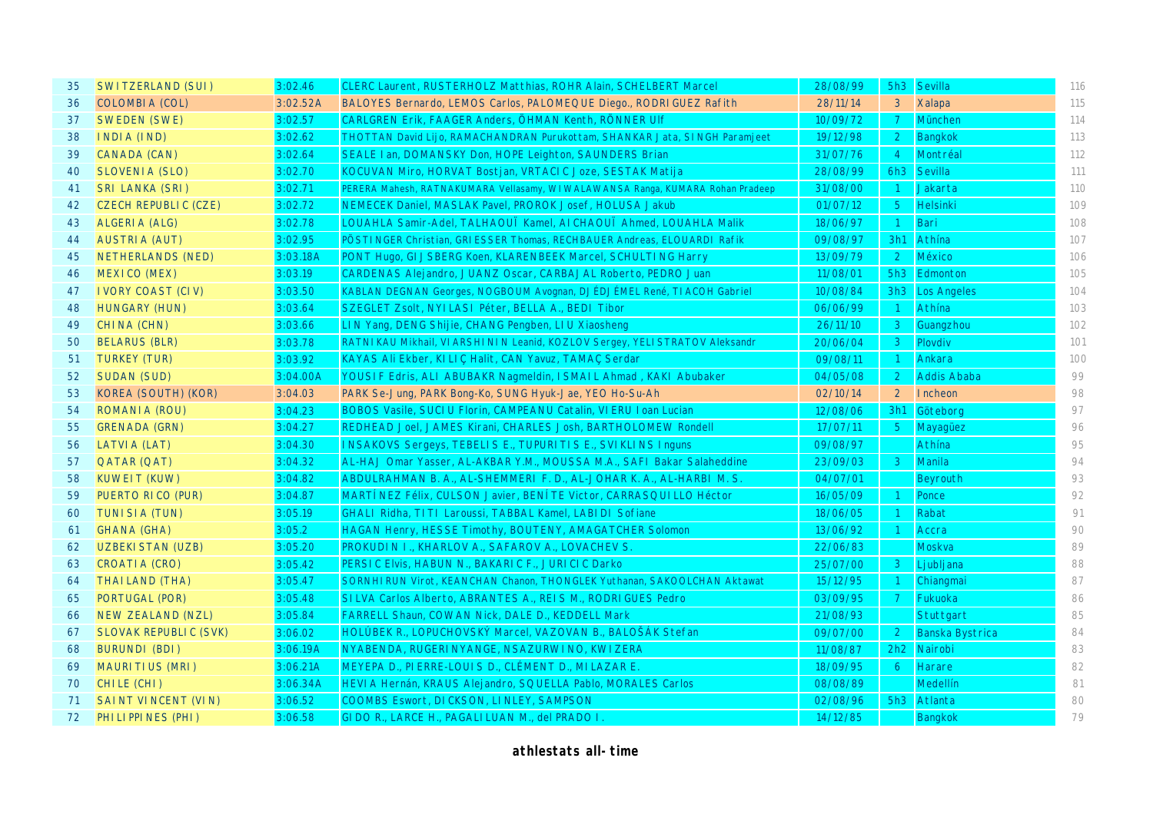| 35 | SWITZERLAND (SUI)            | 3:02.46  | <b>CLERC Laurent, RUSTERHOLZ Matthias, ROHR Alain, SCHELBERT Marcel</b>        | 28/08/99 |                | 5h3 Sevilla     | 116 |
|----|------------------------------|----------|--------------------------------------------------------------------------------|----------|----------------|-----------------|-----|
| 36 | COLOMBIA (COL)               | 3:02.52A | BALOYES Bernardo, LEMOS Carlos, PALOMEQUE Diego., RODRI GUEZ Rafith            | 28/11/14 | 3 <sup>7</sup> | <b>Xalapa</b>   | 115 |
| 37 | <b>SWEDEN (SWE)</b>          | 3:02.57  | CARLGREN Erik, FAAGER Anders, ÖHMAN Kenth, RÖNNER UIf                          | 10/09/72 | 7 <sup>7</sup> | München         | 114 |
| 38 | INDIA (IND)                  | 3:02.62  | THOTTAN David Lijo, RAMACHANDRAN Purukottam, SHANKAR Jata, SINGH Paramjeet     | 19/12/98 | 2 <sup>1</sup> | <b>Bangkok</b>  | 113 |
| 39 | CANADA (CAN)                 | 3:02.64  | SEALE I an, DOMANSKY Don, HOPE Leighton, SAUNDERS Brian                        | 31/07/76 | $\overline{4}$ | Montréal        | 112 |
| 40 | SLOVENIA (SLO)               | 3:02.70  | KOCUVAN Miro, HORVAT Bostjan, VRTACI C Joze, SESTAK Matija                     | 28/08/99 | 6h3            | Sevilla         | 111 |
| 41 | <b>SRI LANKA (SRI)</b>       | 3:02.71  | PERERA Mahesh, RATNAKUMARA Vellasamy, WI WALAWANSA Ranga, KUMARA Rohan Pradeep | 31/08/00 | $\overline{1}$ | Jakarta         | 110 |
| 42 | CZECH REPUBLIC (CZE)         | 3:02.72  | NEMECEK Daniel, MASLAK Pavel, PROROK Josef, HOLUSA Jakub                       | 01/07/12 | 5 <sub>1</sub> | <b>Helsinki</b> | 109 |
| 43 | ALGERIA (ALG)                | 3:02.78  | LOUAHLA Samir-Adel, TALHAOUÏ Kamel, AI CHAOUÏ Ahmed, LOUAHLA Malik             | 18/06/97 | $\overline{1}$ | Bari            | 108 |
| 44 | <b>AUSTRIA (AUT)</b>         | 3:02.95  | PÖSTI NGER Christian, GRI ESSER Thomas, RECHBAUER Andreas, ELOUARDI Rafik      | 09/08/97 | 3h1            | Athína          | 107 |
| 45 | NETHERLANDS (NED)            | 3:03.18A | PONT Hugo, GI JSBERG Koen, KLARENBEEK Marcel, SCHULTING Harry                  | 13/09/79 | $\overline{2}$ | México          | 106 |
| 46 | MEXICO (MEX)                 | 3:03.19  | CARDENAS Alejandro, JUANZ Oscar, CARBAJAL Roberto, PEDRO Juan                  | 11/08/01 |                | 5h3 Edmonton    | 105 |
| 47 | <b>I VORY COAST (CIV)</b>    | 3:03.50  | KABLAN DEGNAN Georges, NOGBOUM Avognan, DJÉDJÉMEL René, TI ACOH Gabriel        | 10/08/84 |                | 3h3 Los Angeles | 104 |
| 48 | <b>HUNGARY (HUN)</b>         | 3:03.64  | SZEGLET Zsolt, NYILASI Péter, BELLA A., BEDI Tibor                             | 06/06/99 | $\overline{1}$ | Athína          | 103 |
| 49 | CHINA (CHN)                  | 3:03.66  | LIN Yang, DENG Shijie, CHANG Pengben, LIU Xiaosheng                            | 26/11/10 | 3 <sup>7</sup> | Guangzhou       | 102 |
| 50 | <b>BELARUS (BLR)</b>         | 3:03.78  | RATNIKAU Mikhail, VI ARSHI NIN Leanid, KOZLOV Sergey, YELI STRATOV Aleksandr   | 20/06/04 | 3 <sup>7</sup> | Plovdiv         | 101 |
| 51 | <b>TURKEY (TUR)</b>          | 3:03.92  | KAYAS Ali Ekber, KILIÇ Halit, CAN Yavuz, TAMAÇ Serdar                          | 09/08/11 | $\vert$ 1      | Ankara          | 100 |
| 52 | <b>SUDAN (SUD)</b>           | 3:04.00A | YOUSIF Edris, ALI ABUBAKR Nagmeldin, ISMAIL Ahmad, KAKI Abubaker               | 04/05/08 | 2 <sup>1</sup> | Addis Ababa     | 99  |
| 53 | KOREA (SOUTH) (KOR)          | 3:04.03  | PARK Se-Jung, PARK Bong-Ko, SUNG Hyuk-Jae, YEO Ho-Su-Ah                        | 02/10/14 | 2 <sup>2</sup> | Incheon         | 98  |
| 54 | ROMANIA (ROU)                | 3:04.23  | BOBOS Vasile, SUCI U Florin, CAMPEANU Catalin, VI ERU I oan Lucian             | 12/08/06 | 3h1            | Göteborg        | 97  |
| 55 | <b>GRENADA (GRN)</b>         | 3:04.27  | REDHEAD Joel, JAMES Kirani, CHARLES Josh, BARTHOLOMEW Rondell                  | 17/07/11 | $5 -$          | Mayaquez        | 96  |
| 56 | <b>LATVIA (LAT)</b>          | 3:04.30  | <b>INSAKOVS Sergeys, TEBELIS E., TUPURITIS E., SVIKLINS Inguns</b>             | 09/08/97 |                | Athína          | 95  |
| 57 | QATAR (QAT)                  | 3:04.32  | AL-HAJ Omar Yasser, AL-AKBAR Y.M., MOUSSA M.A., SAFI Bakar Salaheddine         | 23/09/03 | 3 <sup>1</sup> | Manila          | 94  |
| 58 | <b>KUWEIT (KUW)</b>          | 3:04.82  | ABDULRAHMAN B. A., AL-SHEMMERI F. D., AL-JOHAR K. A., AL-HARBI M. S.           | 04/07/01 |                | Beyrouth        | 93  |
| 59 | PUERTO RICO (PUR)            | 3:04.87  | MARTÍ NEZ Félix, CULSON Javier, BENÍ TE Victor, CARRASQUI LLO Héctor           | 16/05/09 |                | Ponce           | 92  |
| 60 | TUNISIA (TUN)                | 3:05.19  | GHALI Ridha, TITI Laroussi, TABBAL Kamel, LABIDI Sofiane                       | 18/06/05 |                | Rabat           | 91  |
| 61 | <b>GHANA (GHA)</b>           | 3:05.2   | HAGAN Henry, HESSE Timothy, BOUTENY, AMAGATCHER Solomon                        | 13/06/92 |                | Accra           | 90  |
| 62 | <b>UZBEKI STAN (UZB)</b>     | 3:05.20  | PROKUDI N I ., KHARLOV A., SAFAROV A., LOVACHEV S.                             | 22/06/83 |                | <b>Moskva</b>   | 89  |
| 63 | CROATIA (CRO)                | 3:05.42  | PERSIC Elvis, HABUN N., BAKARIC F., JURICIC Darko                              | 25/07/00 | $\mathbf{3}$   | Ljubljana       | 88  |
| 64 | THAI LAND (THA)              | 3:05.47  | SORNHI RUN Virot, KEANCHAN Chanon, THONGLEK Yuthanan, SAKOOLCHAN Aktawat       | 15/12/95 |                | Chiangmai       | 87  |
| 65 | PORTUGAL (POR)               | 3:05.48  | SILVA Carlos Alberto, ABRANTES A., REIS M., RODRIGUES Pedro                    | 03/09/95 | 7 <sup>7</sup> | Fukuoka         | 86  |
| 66 | NEW ZEALAND (NZL)            | 3:05.84  | <b>FARRELL Shaun, COWAN Nick, DALE D., KEDDELL Mark</b>                        | 21/08/93 |                | Stuttgart       | 85  |
| 67 | <b>SLOVAK REPUBLIC (SVK)</b> | 3:06.02  | HOLÚBEK R., LOPUCHOVSKÝ Marcel, VAZOVAN B., BALOŠÁK Stefan                     | 09/07/00 | $\overline{2}$ | Banska Bystrica | 84  |
| 68 | <b>BURUNDI (BDI)</b>         | 3:06.19A | NYABENDA, RUGERI NYANGE, NSAZURWI NO, KWI ZERA                                 | 11/08/87 | 2h2            | Nairobi         | 83  |
| 69 | MAURITIUS (MRI)              | 3:06.21A | MEYEPA D., PI ERRE-LOUIS D., CLÉMENT D., MI LAZAR E.                           | 18/09/95 | 6              | <b>Harare</b>   | 82  |
| 70 | CHILE (CHI)                  | 3:06.34A | HEVI A Hernán, KRAUS Alejandro, SQUELLA Pablo, MORALES Carlos                  | 08/08/89 |                | Medellín        | 81  |
| 71 | SAINT VINCENT (VIN)          | 3:06.52  | COOMBS Eswort, DICKSON, LINLEY, SAMPSON                                        | 02/08/96 | 5h3            | Atlanta         | 80  |
| 72 | PHILIPPINES (PHI)            | 3:06.58  | GI DO R., LARCE H., PAGALI LUAN M., del PRADO I                                | 14/12/85 |                | <b>Bangkok</b>  | 79  |